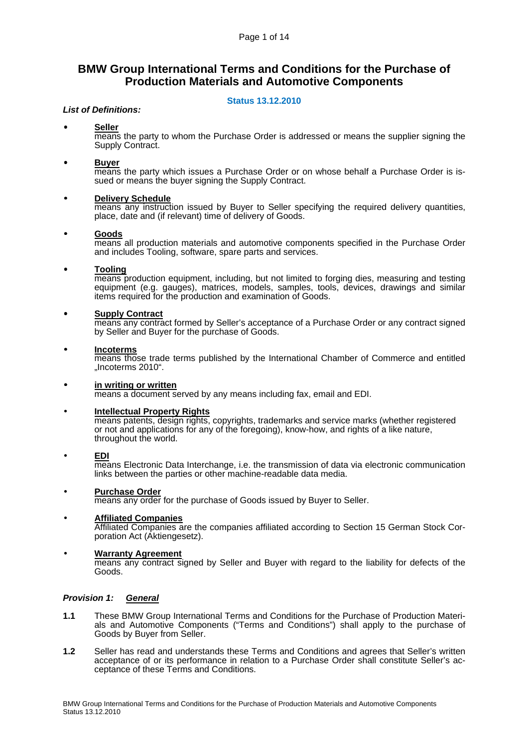# **BMW Group International Terms and Conditions for the Purchase of Production Materials and Automotive Components**

## **Status 13.12.2010**

### **List of Definitions:**

## • **Seller**

means the party to whom the Purchase Order is addressed or means the supplier signing the Supply Contract.

#### • **Buyer**

means the party which issues a Purchase Order or on whose behalf a Purchase Order is issued or means the buyer signing the Supply Contract.

#### • **Delivery Schedule**

means any instruction issued by Buyer to Seller specifying the required delivery quantities, place, date and (if relevant) time of delivery of Goods.

#### • **Goods**

means all production materials and automotive components specified in the Purchase Order and includes Tooling, software, spare parts and services.

#### • **Tooling**

means production equipment, including, but not limited to forging dies, measuring and testing equipment (e.g. gauges), matrices, models, samples, tools, devices, drawings and similar items required for the production and examination of Goods.

## • **Supply Contract**

means any contract formed by Seller's acceptance of a Purchase Order or any contract signed by Seller and Buyer for the purchase of Goods.

#### • **Incoterms**

means those trade terms published by the International Chamber of Commerce and entitled "Incoterms 2010".

#### • **in writing or written**

means a document served by any means including fax, email and EDI.

#### **Intellectual Property Rights**

means patents, design rights, copyrights, trademarks and service marks (whether registered or not and applications for any of the foregoing), know-how, and rights of a like nature, throughout the world.

#### • **EDI**

means Electronic Data Interchange, i.e. the transmission of data via electronic communication links between the parties or other machine-readable data media.

#### • **Purchase Order**

means any order for the purchase of Goods issued by Buyer to Seller.

#### • **Affiliated Companies**

Affiliated Companies are the companies affiliated according to Section 15 German Stock Corporation Act (Aktiengesetz).

#### • **Warranty Agreement**

means any contract signed by Seller and Buyer with regard to the liability for defects of the Goods.

#### **Provision 1: General**

- **1.1** These BMW Group International Terms and Conditions for the Purchase of Production Materials and Automotive Components ("Terms and Conditions") shall apply to the purchase of Goods by Buyer from Seller.
- **1.2** Seller has read and understands these Terms and Conditions and agrees that Seller's written acceptance of or its performance in relation to a Purchase Order shall constitute Seller's acceptance of these Terms and Conditions.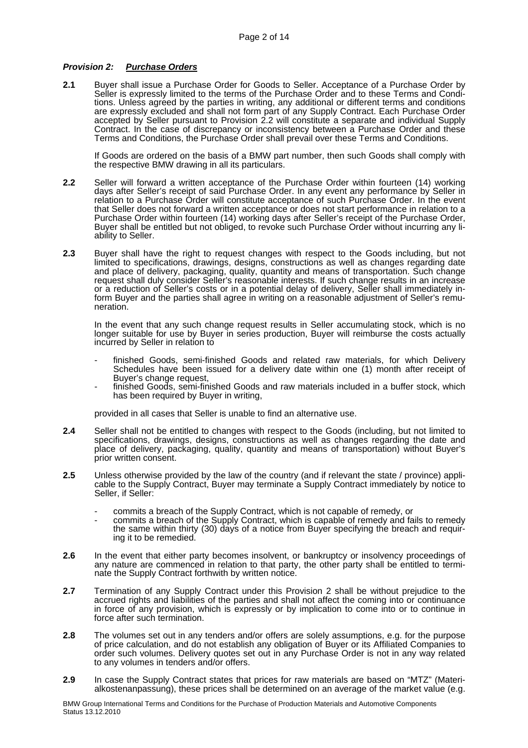#### **Provision 2: Purchase Orders**

**2.1** Buyer shall issue a Purchase Order for Goods to Seller. Acceptance of a Purchase Order by Seller is expressly limited to the terms of the Purchase Order and to these Terms and Conditions. Unless agreed by the parties in writing, any additional or different terms and conditions are expressly excluded and shall not form part of any Supply Contract. Each Purchase Order accepted by Seller pursuant to Provision 2.2 will constitute a separate and individual Supply Contract. In the case of discrepancy or inconsistency between a Purchase Order and these Terms and Conditions, the Purchase Order shall prevail over these Terms and Conditions.

If Goods are ordered on the basis of a BMW part number, then such Goods shall comply with the respective BMW drawing in all its particulars.

- **2.2** Seller will forward a written acceptance of the Purchase Order within fourteen (14) working days after Seller's receipt of said Purchase Order. In any event any performance by Seller in relation to a Purchase Order will constitute acceptance of such Purchase Order. In the event that Seller does not forward a written acceptance or does not start performance in relation to a Purchase Order within fourteen (14) working days after Seller's receipt of the Purchase Order, Buyer shall be entitled but not obliged, to revoke such Purchase Order without incurring any liability to Seller.
- **2.3** Buyer shall have the right to request changes with respect to the Goods including, but not limited to specifications, drawings, designs, constructions as well as changes regarding date and place of delivery, packaging, quality, quantity and means of transportation. Such change request shall duly consider Seller's reasonable interests. If such change results in an increase or a reduction of Seller's costs or in a potential delay of delivery, Seller shall immediately inform Buyer and the parties shall agree in writing on a reasonable adjustment of Seller's remuneration.

In the event that any such change request results in Seller accumulating stock, which is no longer suitable for use by Buyer in series production, Buyer will reimburse the costs actually incurred by Seller in relation to

- finished Goods, semi-finished Goods and related raw materials, for which Delivery Schedules have been issued for a delivery date within one (1) month after receipt of Buyer's change request,
- finished Goods, semi-finished Goods and raw materials included in a buffer stock, which has been required by Buyer in writing,

provided in all cases that Seller is unable to find an alternative use.

- **2.4** Seller shall not be entitled to changes with respect to the Goods (including, but not limited to specifications, drawings, designs, constructions as well as changes regarding the date and place of delivery, packaging, quality, quantity and means of transportation) without Buyer's prior written consent.
- **2.5** Unless otherwise provided by the law of the country (and if relevant the state / province) applicable to the Supply Contract, Buyer may terminate a Supply Contract immediately by notice to Seller, if Seller:
	- commits a breach of the Supply Contract, which is not capable of remedy, or
	- commits a breach of the Supply Contract, which is capable of remedy and fails to remedy the same within thirty (30) days of a notice from Buyer specifying the breach and requiring it to be remedied.
- **2.6** In the event that either party becomes insolvent, or bankruptcy or insolvency proceedings of any nature are commenced in relation to that party, the other party shall be entitled to terminate the Supply Contract forthwith by written notice.
- **2.7** Termination of any Supply Contract under this Provision 2 shall be without prejudice to the accrued rights and liabilities of the parties and shall not affect the coming into or continuance in force of any provision, which is expressly or by implication to come into or to continue in force after such termination.
- **2.8** The volumes set out in any tenders and/or offers are solely assumptions, e.g. for the purpose of price calculation, and do not establish any obligation of Buyer or its Affiliated Companies to order such volumes. Delivery quotes set out in any Purchase Order is not in any way related to any volumes in tenders and/or offers.
- **2.9** In case the Supply Contract states that prices for raw materials are based on "MTZ" (Materialkostenanpassung), these prices shall be determined on an average of the market value (e.g.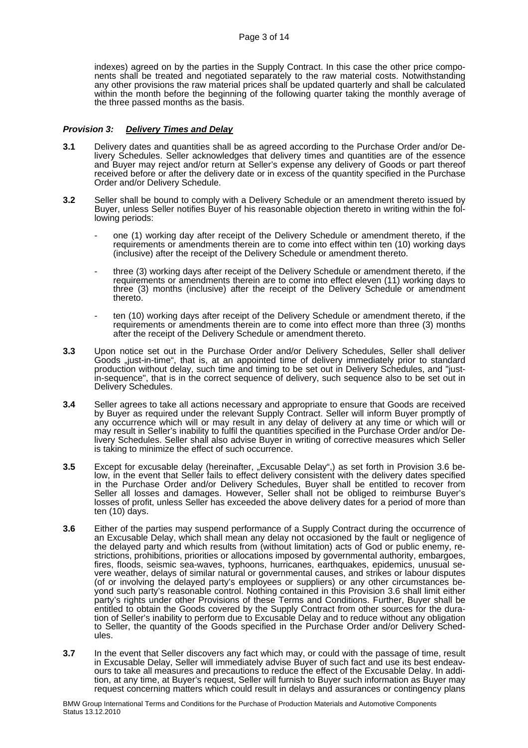indexes) agreed on by the parties in the Supply Contract. In this case the other price components shall be treated and negotiated separately to the raw material costs. Notwithstanding any other provisions the raw material prices shall be updated quarterly and shall be calculated within the month before the beginning of the following quarter taking the monthly average of the three passed months as the basis.

#### **Provision 3: Delivery Times and Delay**

- **3.1** Delivery dates and quantities shall be as agreed according to the Purchase Order and/or Delivery Schedules. Seller acknowledges that delivery times and quantities are of the essence and Buyer may reject and/or return at Seller's expense any delivery of Goods or part thereof received before or after the delivery date or in excess of the quantity specified in the Purchase Order and/or Delivery Schedule.
- **3.2** Seller shall be bound to comply with a Delivery Schedule or an amendment thereto issued by Buyer, unless Seller notifies Buyer of his reasonable objection thereto in writing within the following periods:
	- one (1) working day after receipt of the Delivery Schedule or amendment thereto, if the requirements or amendments therein are to come into effect within ten (10) working days (inclusive) after the receipt of the Delivery Schedule or amendment thereto.
	- three (3) working days after receipt of the Delivery Schedule or amendment thereto, if the requirements or amendments therein are to come into effect eleven (11) working days to three (3) months (inclusive) after the receipt of the Delivery Schedule or amendment thereto.
	- ten (10) working days after receipt of the Delivery Schedule or amendment thereto, if the requirements or amendments therein are to come into effect more than three (3) months after the receipt of the Delivery Schedule or amendment thereto.
- **3.3** Upon notice set out in the Purchase Order and/or Delivery Schedules, Seller shall deliver Goods "just-in-time", that is, at an appointed time of delivery immediately prior to standard production without delay, such time and timing to be set out in Delivery Schedules, and "justin-sequence", that is in the correct sequence of delivery, such sequence also to be set out in Delivery Schedules.
- **3.4** Seller agrees to take all actions necessary and appropriate to ensure that Goods are received by Buyer as required under the relevant Supply Contract. Seller will inform Buyer promptly of any occurrence which will or may result in any delay of delivery at any time or which will or may result in Seller's inability to fulfil the quantities specified in the Purchase Order and/or Delivery Schedules. Seller shall also advise Buyer in writing of corrective measures which Seller is taking to minimize the effect of such occurrence.
- **3.5** Except for excusable delay (hereinafter, "Excusable Delay",) as set forth in Provision 3.6 below, in the event that Seller fails to effect delivery consistent with the delivery dates specified in the Purchase Order and/or Delivery Schedules, Buyer shall be entitled to recover from Seller all losses and damages. However, Seller shall not be obliged to reimburse Buyer's losses of profit, unless Seller has exceeded the above delivery dates for a period of more than ten (10) days.
- **3.6** Either of the parties may suspend performance of a Supply Contract during the occurrence of an Excusable Delay, which shall mean any delay not occasioned by the fault or negligence of the delayed party and which results from (without limitation) acts of God or public enemy, restrictions, prohibitions, priorities or allocations imposed by governmental authority, embargoes, fires, floods, seismic sea-waves, typhoons, hurricanes, earthquakes, epidemics, unusual severe weather, delays of similar natural or governmental causes, and strikes or labour disputes (of or involving the delayed party's employees or suppliers) or any other circumstances beyond such party's reasonable control. Nothing contained in this Provision 3.6 shall limit either party's rights under other Provisions of these Terms and Conditions. Further, Buyer shall be entitled to obtain the Goods covered by the Supply Contract from other sources for the duration of Seller's inability to perform due to Excusable Delay and to reduce without any obligation to Seller, the quantity of the Goods specified in the Purchase Order and/or Delivery Schedules.
- **3.7** In the event that Seller discovers any fact which may, or could with the passage of time, result in Excusable Delay, Seller will immediately advise Buyer of such fact and use its best endeavours to take all measures and precautions to reduce the effect of the Excusable Delay. In addition, at any time, at Buyer's request, Seller will furnish to Buyer such information as Buyer may request concerning matters which could result in delays and assurances or contingency plans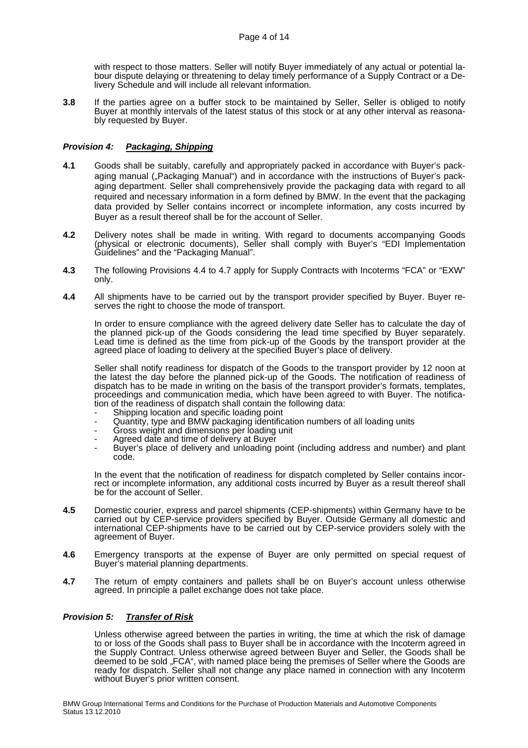with respect to those matters. Seller will notify Buyer immediately of any actual or potential labour dispute delaying or threatening to delay timely performance of a Supply Contract or a Delivery Schedule and will include all relevant information.

**3.8** If the parties agree on a buffer stock to be maintained by Seller, Seller is obliged to notify Buyer at monthly intervals of the latest status of this stock or at any other interval as reasonably requested by Buyer.

## **Provision 4: Packaging, Shipping**

- **4.1** Goods shall be suitably, carefully and appropriately packed in accordance with Buyer's packaging manual ("Packaging Manual") and in accordance with the instructions of Buyer's packaging department. Seller shall comprehensively provide the packaging data with regard to all required and necessary information in a form defined by BMW. In the event that the packaging data provided by Seller contains incorrect or incomplete information, any costs incurred by Buyer as a result thereof shall be for the account of Seller.
- **4.2** Delivery notes shall be made in writing. With regard to documents accompanying Goods (physical or electronic documents), Seller shall comply with Buyer's "EDI Implementation Guidelines" and the "Packaging Manual".
- **4.3** The following Provisions 4.4 to 4.7 apply for Supply Contracts with Incoterms "FCA" or "EXW" only.
- **4.4** All shipments have to be carried out by the transport provider specified by Buyer. Buyer reserves the right to choose the mode of transport.

In order to ensure compliance with the agreed delivery date Seller has to calculate the day of the planned pick-up of the Goods considering the lead time specified by Buyer separately. Lead time is defined as the time from pick-up of the Goods by the transport provider at the agreed place of loading to delivery at the specified Buyer's place of delivery.

Seller shall notify readiness for dispatch of the Goods to the transport provider by 12 noon at the latest the day before the planned pick-up of the Goods. The notification of readiness of dispatch has to be made in writing on the basis of the transport provider's formats, templates, proceedings and communication media, which have been agreed to with Buyer. The notification of the readiness of dispatch shall contain the following data:

- Shipping location and specific loading point
- Quantity, type and BMW packaging identification numbers of all loading units
- Gross weight and dimensions per loading unit
- Agreed date and time of delivery at Buyer
- Buyer's place of delivery and unloading point (including address and number) and plant code.

In the event that the notification of readiness for dispatch completed by Seller contains incorrect or incomplete information, any additional costs incurred by Buyer as a result thereof shall be for the account of Seller.

- **4.5** Domestic courier, express and parcel shipments (CEP-shipments) within Germany have to be carried out by CEP-service providers specified by Buyer. Outside Germany all domestic and international CEP-shipments have to be carried out by CEP-service providers solely with the agreement of Buyer.
- **4.6** Emergency transports at the expense of Buyer are only permitted on special request of Buyer's material planning departments.
- **4.7** The return of empty containers and pallets shall be on Buyer's account unless otherwise agreed. In principle a pallet exchange does not take place.

#### **Provision 5:** Transfer of Risk

Unless otherwise agreed between the parties in writing, the time at which the risk of damage to or loss of the Goods shall pass to Buyer shall be in accordance with the Incoterm agreed in the Supply Contract. Unless otherwise agreed between Buyer and Seller, the Goods shall be deemed to be sold "FCA", with named place being the premises of Seller where the Goods are ready for dispatch. Seller shall not change any place named in connection with any Incoterm without Buyer's prior written consent.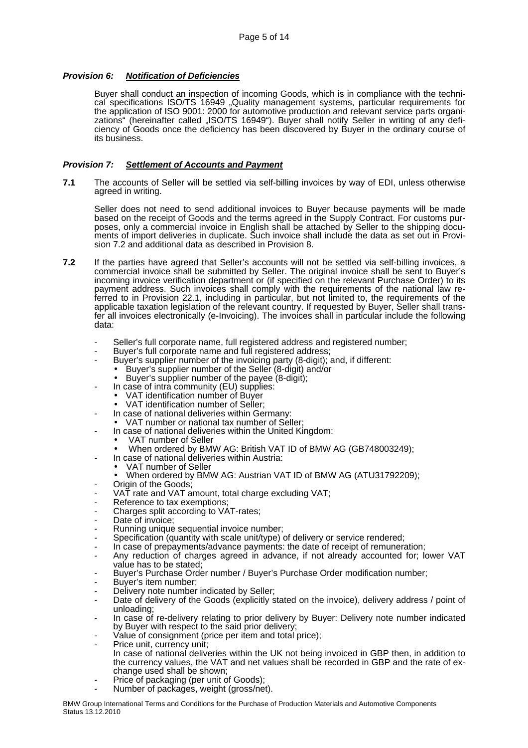## **Provision 6: Notification of Deficiencies**

Buyer shall conduct an inspection of incoming Goods, which is in compliance with the technical specifications ISO/TS 16949 "Quality management systems, particular requirements for the application of ISO 9001: 2000 for automotive production and relevant service parts organizations" (hereinafter called "ISO/TS 16949"). Buyer shall notify Seller in writing of any deficiency of Goods once the deficiency has been discovered by Buyer in the ordinary course of its business.

### **Provision 7: Settlement of Accounts and Payment**

**7.1** The accounts of Seller will be settled via self-billing invoices by way of EDI, unless otherwise agreed in writing.

Seller does not need to send additional invoices to Buyer because payments will be made based on the receipt of Goods and the terms agreed in the Supply Contract. For customs purposes, only a commercial invoice in English shall be attached by Seller to the shipping documents of import deliveries in duplicate. Such invoice shall include the data as set out in Provision 7.2 and additional data as described in Provision 8.

- **7.2** If the parties have agreed that Seller's accounts will not be settled via self-billing invoices, a commercial invoice shall be submitted by Seller. The original invoice shall be sent to Buyer's incoming invoice verification department or (if specified on the relevant Purchase Order) to its payment address. Such invoices shall comply with the requirements of the national law referred to in Provision 22.1, including in particular, but not limited to, the requirements of the applicable taxation legislation of the relevant country. If requested by Buyer, Seller shall transfer all invoices electronically (e-Invoicing). The invoices shall in particular include the following data:
	- Seller's full corporate name, full registered address and registered number;
	- Buyer's full corporate name and full registered address;
	- Buyer's supplier number of the invoicing party (8-digit); and, if different:
		- Buyer's supplier number of the Seller (8-digit) and/or
		- Buyer's supplier number of the payee (8-digit);
		- In case of intra community (EU) supplies:
		- VAT identification number of Buyer
		- VAT identification number of Seller;
	- In case of national deliveries within Germany:
	- VAT number or national tax number of Seller;
	- In case of national deliveries within the United Kingdom:
		- VAT number of Seller
		- When ordered by BMW AG: British VAT ID of BMW AG (GB748003249);
	- In case of national deliveries within Austria:
		- VAT number of Seller
		- When ordered by BMW AG: Austrian VAT ID of BMW AG (ATU31792209);
	- Origin of the Goods;
	- VAT rate and VAT amount, total charge excluding VAT;
	- Reference to tax exemptions;
	- Charges split according to VAT-rates;
	- Date of invoice;
	- Running unique sequential invoice number;
	- Specification (quantity with scale unit/type) of delivery or service rendered;
	- In case of prepayments/advance payments: the date of receipt of remuneration;
	- Any reduction of charges agreed in advance, if not already accounted for; lower VAT value has to be stated;
	- Buyer's Purchase Order number / Buyer's Purchase Order modification number;
	- Buyer's item number;
	- Delivery note number indicated by Seller:
	- Date of delivery of the Goods (explicitly stated on the invoice), delivery address / point of unloading;
	- In case of re-delivery relating to prior delivery by Buyer: Delivery note number indicated by Buyer with respect to the said prior delivery;
	- Value of consignment (price per item and total price);
	- Price unit, currency unit; In case of national deliveries within the UK not being invoiced in GBP then, in addition to the currency values, the VAT and net values shall be recorded in GBP and the rate of exchange used shall be shown;
	- Price of packaging (per unit of Goods);
	- Number of packages, weight (gross/net).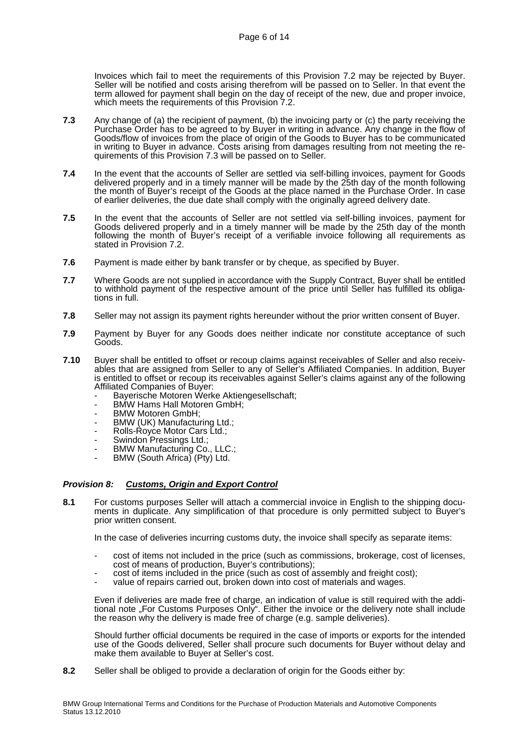Invoices which fail to meet the requirements of this Provision 7.2 may be rejected by Buyer. Seller will be notified and costs arising therefrom will be passed on to Seller. In that event the term allowed for payment shall begin on the day of receipt of the new, due and proper invoice, which meets the requirements of this Provision 7.2.

- **7.3** Any change of (a) the recipient of payment, (b) the invoicing party or (c) the party receiving the Purchase Order has to be agreed to by Buyer in writing in advance. Any change in the flow of Goods/flow of invoices from the place of origin of the Goods to Buyer has to be communicated in writing to Buyer in advance. Costs arising from damages resulting from not meeting the requirements of this Provision 7.3 will be passed on to Seller.
- **7.4** In the event that the accounts of Seller are settled via self-billing invoices, payment for Goods delivered properly and in a timely manner will be made by the 25th day of the month following the month of Buyer's receipt of the Goods at the place named in the Purchase Order. In case of earlier deliveries, the due date shall comply with the originally agreed delivery date.
- **7.5** In the event that the accounts of Seller are not settled via self-billing invoices, payment for Goods delivered properly and in a timely manner will be made by the 25th day of the month following the month of Buyer's receipt of a verifiable invoice following all requirements as stated in Provision 7.2.
- **7.6** Payment is made either by bank transfer or by cheque, as specified by Buyer.
- **7.7** Where Goods are not supplied in accordance with the Supply Contract, Buyer shall be entitled to withhold payment of the respective amount of the price until Seller has fulfilled its obligations in full.
- **7.8** Seller may not assign its payment rights hereunder without the prior written consent of Buyer.
- **7.9** Payment by Buyer for any Goods does neither indicate nor constitute acceptance of such Goods.
- **7.10** Buyer shall be entitled to offset or recoup claims against receivables of Seller and also receivables that are assigned from Seller to any of Seller's Affiliated Companies. In addition, Buyer is entitled to offset or recoup its receivables against Seller's claims against any of the following Affiliated Companies of Buyer:
	- Bayerische Motoren Werke Aktiengesellschaft;
	- BMW Hams Hall Motoren GmbH;
	- BMW Motoren GmbH;
	- BMW (UK) Manufacturing Ltd.;
	- Rolls-Royce Motor Cars Ltd.;
	- Swindon Pressings Ltd.;
	- BMW Manufacturing Co., LLC.;
	- BMW (South Africa) (Pty) Ltd.

## **Provision 8: Customs, Origin and Export Control**

**8.1** For customs purposes Seller will attach a commercial invoice in English to the shipping documents in duplicate. Any simplification of that procedure is only permitted subject to Buyer's prior written consent.

In the case of deliveries incurring customs duty, the invoice shall specify as separate items:

- cost of items not included in the price (such as commissions, brokerage, cost of licenses, cost of means of production, Buyer's contributions);
- cost of items included in the price (such as cost of assembly and freight cost);
- value of repairs carried out, broken down into cost of materials and wages.

Even if deliveries are made free of charge, an indication of value is still required with the additional note "For Customs Purposes Only". Either the invoice or the delivery note shall include the reason why the delivery is made free of charge (e.g. sample deliveries).

Should further official documents be required in the case of imports or exports for the intended use of the Goods delivered, Seller shall procure such documents for Buyer without delay and make them available to Buyer at Seller's cost.

**8.2** Seller shall be obliged to provide a declaration of origin for the Goods either by: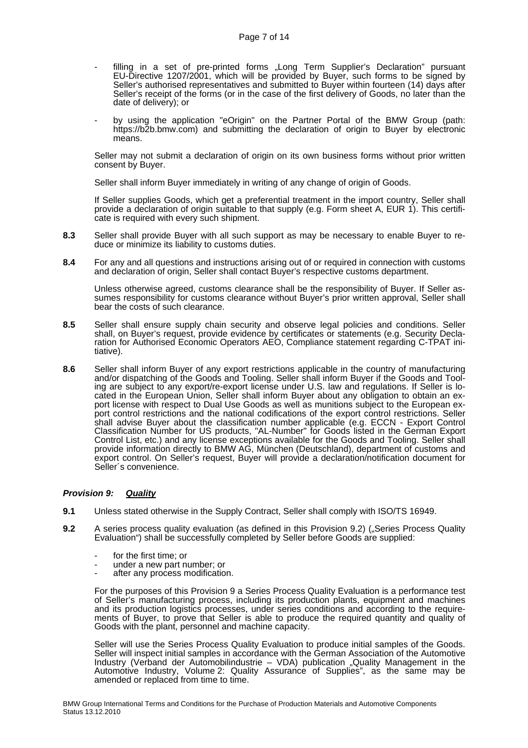- filling in a set of pre-printed forms "Long Term Supplier's Declaration" pursuant EU-Directive 1207/2001, which will be provided by Buyer, such forms to be signed by Seller's authorised representatives and submitted to Buyer within fourteen (14) days after Seller's receipt of the forms (or in the case of the first delivery of Goods, no later than the date of delivery); or
- by using the application "eOrigin" on the Partner Portal of the BMW Group (path: https://b2b.bmw.com) and submitting the declaration of origin to Buyer by electronic means.

Seller may not submit a declaration of origin on its own business forms without prior written consent by Buyer.

Seller shall inform Buyer immediately in writing of any change of origin of Goods.

If Seller supplies Goods, which get a preferential treatment in the import country, Seller shall provide a declaration of origin suitable to that supply (e.g. Form sheet A, EUR 1). This certificate is required with every such shipment.

- **8.3** Seller shall provide Buyer with all such support as may be necessary to enable Buyer to reduce or minimize its liability to customs duties.
- **8.4** For any and all questions and instructions arising out of or required in connection with customs and declaration of origin, Seller shall contact Buyer's respective customs department.

Unless otherwise agreed, customs clearance shall be the responsibility of Buyer. If Seller assumes responsibility for customs clearance without Buyer's prior written approval, Seller shall bear the costs of such clearance.

- **8.5** Seller shall ensure supply chain security and observe legal policies and conditions. Seller shall, on Buyer's request, provide evidence by certificates or statements (e.g. Security Declaration for Authorised Economic Operators AEO, Compliance statement regarding C-TPAT initiative).
- **8.6** Seller shall inform Buyer of any export restrictions applicable in the country of manufacturing and/or dispatching of the Goods and Tooling. Seller shall inform Buyer if the Goods and Tooling are subject to any export/re-export license under U.S. law and regulations. If Seller is located in the European Union, Seller shall inform Buyer about any obligation to obtain an export license with respect to Dual Use Goods as well as munitions subject to the European export control restrictions and the national codifications of the export control restrictions. Seller shall advise Buyer about the classification number applicable (e.g. ECCN - Export Control Classification Number for US products, "AL-Number" for Goods listed in the German Export Control List, etc.) and any license exceptions available for the Goods and Tooling. Seller shall provide information directly to BMW AG, München (Deutschland), department of customs and export control. On Seller's request, Buyer will provide a declaration/notification document for Seller´s convenience.

## **Provision 9: Quality**

- **9.1** Unless stated otherwise in the Supply Contract, Seller shall comply with ISO/TS 16949.
- **9.2** A series process quality evaluation (as defined in this Provision 9.2) ("Series Process Quality Evaluation") shall be successfully completed by Seller before Goods are supplied:
	- for the first time; or
	- under a new part number; or
	- after any process modification.

For the purposes of this Provision 9 a Series Process Quality Evaluation is a performance test of Seller's manufacturing process, including its production plants, equipment and machines and its production logistics processes, under series conditions and according to the requirements of Buyer, to prove that Seller is able to produce the required quantity and quality of Goods with the plant, personnel and machine capacity.

Seller will use the Series Process Quality Evaluation to produce initial samples of the Goods. Seller will inspect initial samples in accordance with the German Association of the Automotive Industry (Verband der Automobilindustrie – VDA) publication "Quality Management in the Automotive Industry, Volume 2: Quality Assurance of Supplies", as the same may be amended or replaced from time to time.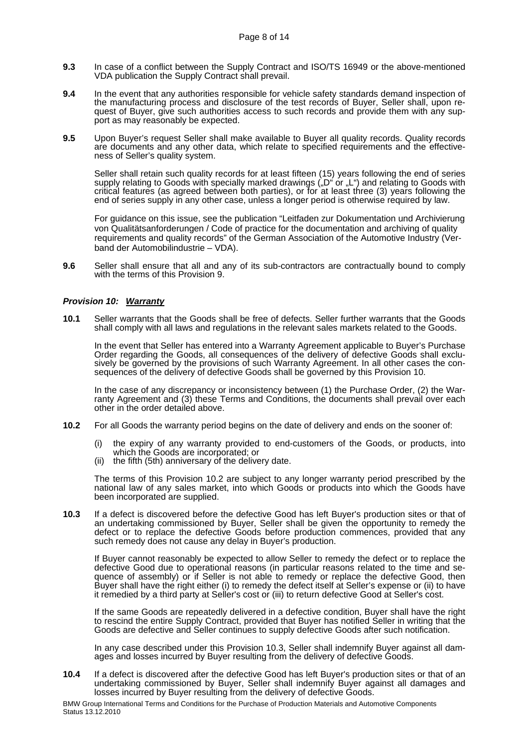- **9.3** In case of a conflict between the Supply Contract and ISO/TS 16949 or the above-mentioned VDA publication the Supply Contract shall prevail.
- **9.4** In the event that any authorities responsible for vehicle safety standards demand inspection of the manufacturing process and disclosure of the test records of Buyer, Seller shall, upon request of Buyer, give such authorities access to such records and provide them with any support as may reasonably be expected.
- **9.5** Upon Buyer's request Seller shall make available to Buyer all quality records. Quality records are documents and any other data, which relate to specified requirements and the effectiveness of Seller's quality system.

Seller shall retain such quality records for at least fifteen (15) years following the end of series supply relating to Goods with specially marked drawings ("D" or "L") and relating to Goods with critical features (as agreed between both parties), or for at least three (3) years following the end of series supply in any other case, unless a longer period is otherwise required by law.

For guidance on this issue, see the publication "Leitfaden zur Dokumentation und Archivierung von Qualitätsanforderungen / Code of practice for the documentation and archiving of quality requirements and quality records" of the German Association of the Automotive Industry (Verband der Automobilindustrie – VDA).

**9.6** Seller shall ensure that all and any of its sub-contractors are contractually bound to comply with the terms of this Provision 9.

#### **Provision 10: Warranty**

**10.1** Seller warrants that the Goods shall be free of defects. Seller further warrants that the Goods shall comply with all laws and regulations in the relevant sales markets related to the Goods.

In the event that Seller has entered into a Warranty Agreement applicable to Buyer's Purchase Order regarding the Goods, all consequences of the delivery of defective Goods shall exclusively be governed by the provisions of such Warranty Agreement. In all other cases the consequences of the delivery of defective Goods shall be governed by this Provision 10.

In the case of any discrepancy or inconsistency between (1) the Purchase Order, (2) the Warranty Agreement and (3) these Terms and Conditions, the documents shall prevail over each other in the order detailed above.

- **10.2** For all Goods the warranty period begins on the date of delivery and ends on the sooner of:
	- (i) the expiry of any warranty provided to end-customers of the Goods, or products, into which the Goods are incorporated; or
	- (ii) the fifth (5th) anniversary of the delivery date.

The terms of this Provision 10.2 are subject to any longer warranty period prescribed by the national law of any sales market, into which Goods or products into which the Goods have been incorporated are supplied.

**10.3** If a defect is discovered before the defective Good has left Buyer's production sites or that of an undertaking commissioned by Buyer, Seller shall be given the opportunity to remedy the defect or to replace the defective Goods before production commences, provided that any such remedy does not cause any delay in Buyer's production.

If Buyer cannot reasonably be expected to allow Seller to remedy the defect or to replace the defective Good due to operational reasons (in particular reasons related to the time and sequence of assembly) or if Seller is not able to remedy or replace the defective Good, then Buyer shall have the right either (i) to remedy the defect itself at Seller's expense or (ii) to have it remedied by a third party at Seller's cost or (iii) to return defective Good at Seller's cost.

If the same Goods are repeatedly delivered in a defective condition, Buyer shall have the right to rescind the entire Supply Contract, provided that Buyer has notified Seller in writing that the Goods are defective and Seller continues to supply defective Goods after such notification.

In any case described under this Provision 10.3, Seller shall indemnify Buyer against all damages and losses incurred by Buyer resulting from the delivery of defective Goods.

**10.4** If a defect is discovered after the defective Good has left Buyer's production sites or that of an undertaking commissioned by Buyer, Seller shall indemnify Buyer against all damages and losses incurred by Buyer resulting from the delivery of defective Goods.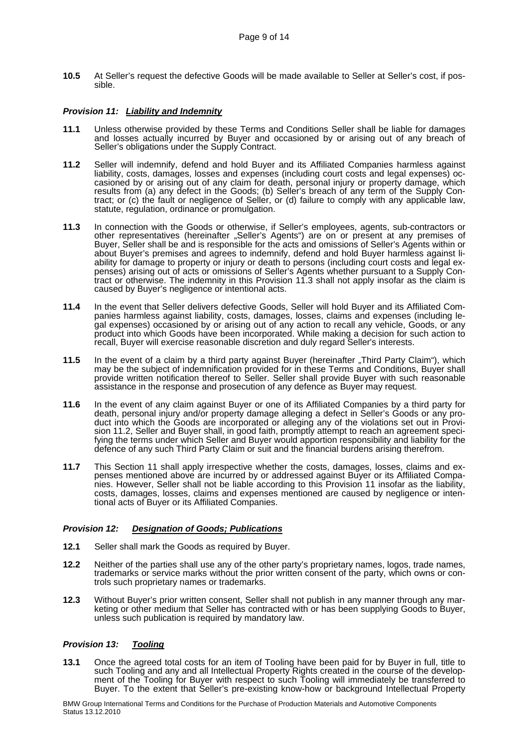**10.5** At Seller's request the defective Goods will be made available to Seller at Seller's cost, if possible.

## **Provision 11: Liability and Indemnity**

- **11.1** Unless otherwise provided by these Terms and Conditions Seller shall be liable for damages and losses actually incurred by Buyer and occasioned by or arising out of any breach of Seller's obligations under the Supply Contract.
- **11.2** Seller will indemnify, defend and hold Buyer and its Affiliated Companies harmless against liability, costs, damages, losses and expenses (including court costs and legal expenses) occasioned by or arising out of any claim for death, personal injury or property damage, which results from (a) any defect in the Goods; (b) Seller's breach of any term of the Supply Contract; or (c) the fault or negligence of Seller, or (d) failure to comply with any applicable law, statute, regulation, ordinance or promulgation.
- **11.3** In connection with the Goods or otherwise, if Seller's employees, agents, sub-contractors or other representatives (hereinafter "Seller's Agents") are on or present at any premises of Buyer, Seller shall be and is responsible for the acts and omissions of Seller's Agents within or about Buyer's premises and agrees to indemnify, defend and hold Buyer harmless against liability for damage to property or injury or death to persons (including court costs and legal expenses) arising out of acts or omissions of Seller's Agents whether pursuant to a Supply Contract or otherwise. The indemnity in this Provision 11.3 shall not apply insofar as the claim is caused by Buyer's negligence or intentional acts.
- **11.4** In the event that Seller delivers defective Goods, Seller will hold Buyer and its Affiliated Companies harmless against liability, costs, damages, losses, claims and expenses (including legal expenses) occasioned by or arising out of any action to recall any vehicle, Goods, or any product into which Goods have been incorporated. While making a decision for such action to recall, Buyer will exercise reasonable discretion and duly regard Seller's interests.
- **11.5** In the event of a claim by a third party against Buyer (hereinafter "Third Party Claim"), which may be the subject of indemnification provided for in these Terms and Conditions, Buyer shall provide written notification thereof to Seller. Seller shall provide Buyer with such reasonable assistance in the response and prosecution of any defence as Buyer may request.
- **11.6** In the event of any claim against Buyer or one of its Affiliated Companies by a third party for death, personal injury and/or property damage alleging a defect in Seller's Goods or any product into which the Goods are incorporated or alleging any of the violations set out in Provision 11.2, Seller and Buyer shall, in good faith, promptly attempt to reach an agreement specifying the terms under which Seller and Buyer would apportion responsibility and liability for the defence of any such Third Party Claim or suit and the financial burdens arising therefrom.
- **11.7** This Section 11 shall apply irrespective whether the costs, damages, losses, claims and expenses mentioned above are incurred by or addressed against Buyer or its Affiliated Companies. However, Seller shall not be liable according to this Provision 11 insofar as the liability, costs, damages, losses, claims and expenses mentioned are caused by negligence or intentional acts of Buyer or its Affiliated Companies.

#### **Provision 12: Designation of Goods; Publications**

- **12.1** Seller shall mark the Goods as required by Buyer.
- **12.2** Neither of the parties shall use any of the other party's proprietary names, logos, trade names, trademarks or service marks without the prior written consent of the party, which owns or controls such proprietary names or trademarks.
- **12.3** Without Buyer's prior written consent, Seller shall not publish in any manner through any marketing or other medium that Seller has contracted with or has been supplying Goods to Buyer, unless such publication is required by mandatory law.

## **Provision 13: Tooling**

**13.1** Once the agreed total costs for an item of Tooling have been paid for by Buyer in full, title to such Tooling and any and all Intellectual Property Rights created in the course of the development of the Tooling for Buyer with respect to such Tooling will immediately be transferred to Buyer. To the extent that Seller's pre-existing know-how or background Intellectual Property

BMW Group International Terms and Conditions for the Purchase of Production Materials and Automotive Components Status 13.12.2010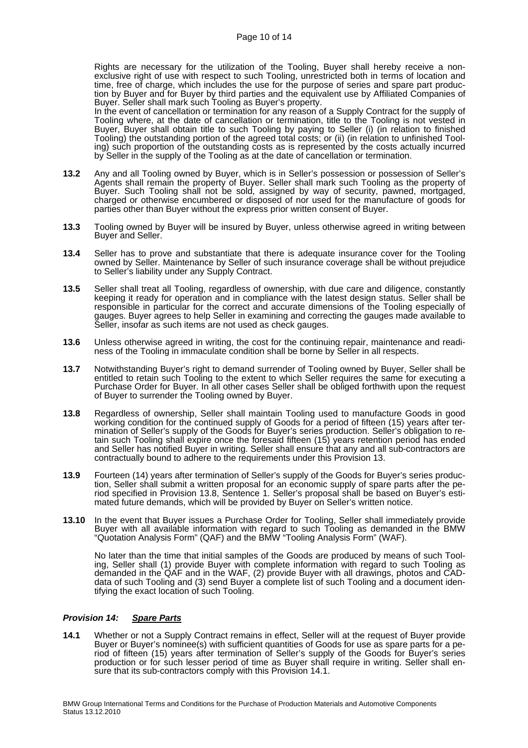Rights are necessary for the utilization of the Tooling, Buyer shall hereby receive a nonexclusive right of use with respect to such Tooling, unrestricted both in terms of location and time, free of charge, which includes the use for the purpose of series and spare part production by Buyer and for Buyer by third parties and the equivalent use by Affiliated Companies of Buyer. Seller shall mark such Tooling as Buyer's property.

In the event of cancellation or termination for any reason of a Supply Contract for the supply of Tooling where, at the date of cancellation or termination, title to the Tooling is not vested in Buyer, Buyer shall obtain title to such Tooling by paying to Seller (i) (in relation to finished Tooling) the outstanding portion of the agreed total costs; or (ii) (in relation to unfinished Tooling) such proportion of the outstanding costs as is represented by the costs actually incurred by Seller in the supply of the Tooling as at the date of cancellation or termination.

- **13.2** Any and all Tooling owned by Buyer, which is in Seller's possession or possession of Seller's Agents shall remain the property of Buyer. Seller shall mark such Tooling as the property of Buyer. Such Tooling shall not be sold, assigned by way of security, pawned, mortgaged, charged or otherwise encumbered or disposed of nor used for the manufacture of goods for parties other than Buyer without the express prior written consent of Buyer.
- **13.3** Tooling owned by Buyer will be insured by Buyer, unless otherwise agreed in writing between Buyer and Seller.
- **13.4** Seller has to prove and substantiate that there is adequate insurance cover for the Tooling owned by Seller. Maintenance by Seller of such insurance coverage shall be without prejudice to Seller's liability under any Supply Contract.
- **13.5** Seller shall treat all Tooling, regardless of ownership, with due care and diligence, constantly keeping it ready for operation and in compliance with the latest design status. Seller shall be responsible in particular for the correct and accurate dimensions of the Tooling especially of gauges. Buyer agrees to help Seller in examining and correcting the gauges made available to Seller, insofar as such items are not used as check gauges.
- **13.6** Unless otherwise agreed in writing, the cost for the continuing repair, maintenance and readiness of the Tooling in immaculate condition shall be borne by Seller in all respects.
- **13.7** Notwithstanding Buyer's right to demand surrender of Tooling owned by Buyer, Seller shall be entitled to retain such Tooling to the extent to which Seller requires the same for executing a Purchase Order for Buyer. In all other cases Seller shall be obliged forthwith upon the request of Buyer to surrender the Tooling owned by Buyer.
- **13.8** Regardless of ownership, Seller shall maintain Tooling used to manufacture Goods in good working condition for the continued supply of Goods for a period of fifteen (15) years after termination of Seller's supply of the Goods for Buyer's series production. Seller's obligation to retain such Tooling shall expire once the foresaid fifteen (15) years retention period has ended and Seller has notified Buyer in writing. Seller shall ensure that any and all sub-contractors are contractually bound to adhere to the requirements under this Provision 13.
- **13.9** Fourteen (14) years after termination of Seller's supply of the Goods for Buyer's series production, Seller shall submit a written proposal for an economic supply of spare parts after the period specified in Provision 13.8, Sentence 1. Seller's proposal shall be based on Buyer's estimated future demands, which will be provided by Buyer on Seller's written notice.
- **13.10** In the event that Buyer issues a Purchase Order for Tooling, Seller shall immediately provide Buyer with all available information with regard to such Tooling as demanded in the BMW "Quotation Analysis Form" (QAF) and the BMW "Tooling Analysis Form" (WAF).

No later than the time that initial samples of the Goods are produced by means of such Tooling, Seller shall (1) provide Buyer with complete information with regard to such Tooling as demanded in the QAF and in the WAF, (2) provide Buyer with all drawings, photos and CADdata of such Tooling and (3) send Buyer a complete list of such Tooling and a document identifying the exact location of such Tooling.

## **Provision 14: Spare Parts**

**14.1** Whether or not a Supply Contract remains in effect, Seller will at the request of Buyer provide Buyer or Buyer's nominee(s) with sufficient quantities of Goods for use as spare parts for a period of fifteen (15) years after termination of Seller's supply of the Goods for Buyer's series production or for such lesser period of time as Buyer shall require in writing. Seller shall ensure that its sub-contractors comply with this Provision 14.1.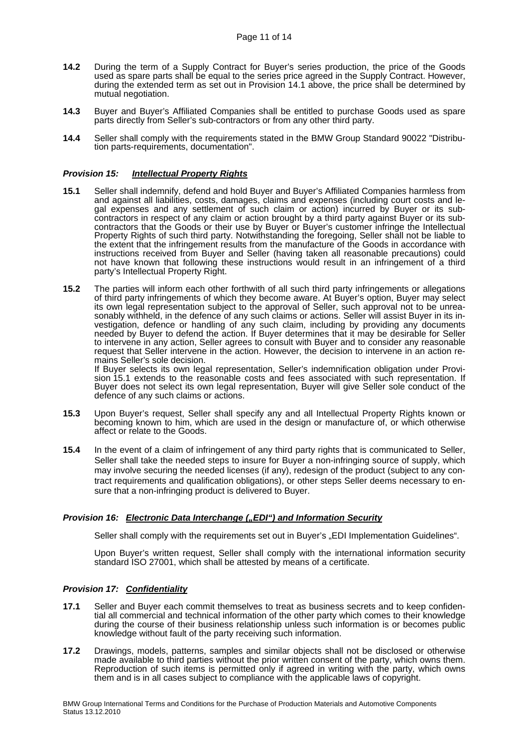- **14.2** During the term of a Supply Contract for Buyer's series production, the price of the Goods used as spare parts shall be equal to the series price agreed in the Supply Contract. However, during the extended term as set out in Provision 14.1 above, the price shall be determined by mutual negotiation.
- **14.3** Buyer and Buyer's Affiliated Companies shall be entitled to purchase Goods used as spare parts directly from Seller's sub-contractors or from any other third party.
- **14.4** Seller shall comply with the requirements stated in the BMW Group Standard 90022 "Distribution parts-requirements, documentation".

#### **Provision 15: Intellectual Property Rights**

- **15.1** Seller shall indemnify, defend and hold Buyer and Buyer's Affiliated Companies harmless from and against all liabilities, costs, damages, claims and expenses (including court costs and legal expenses and any settlement of such claim or action) incurred by Buyer or its subcontractors in respect of any claim or action brought by a third party against Buyer or its subcontractors that the Goods or their use by Buyer or Buyer's customer infringe the Intellectual Property Rights of such third party. Notwithstanding the foregoing, Seller shall not be liable to the extent that the infringement results from the manufacture of the Goods in accordance with instructions received from Buyer and Seller (having taken all reasonable precautions) could not have known that following these instructions would result in an infringement of a third party's Intellectual Property Right.
- **15.2** The parties will inform each other forthwith of all such third party infringements or allegations of third party infringements of which they become aware. At Buyer's option, Buyer may select its own legal representation subject to the approval of Seller, such approval not to be unreasonably withheld, in the defence of any such claims or actions. Seller will assist Buyer in its investigation, defence or handling of any such claim, including by providing any documents needed by Buyer to defend the action. If Buyer determines that it may be desirable for Seller to intervene in any action, Seller agrees to consult with Buyer and to consider any reasonable request that Seller intervene in the action. However, the decision to intervene in an action remains Seller's sole decision.

If Buyer selects its own legal representation, Seller's indemnification obligation under Provision 15.1 extends to the reasonable costs and fees associated with such representation. If Buyer does not select its own legal representation, Buyer will give Seller sole conduct of the defence of any such claims or actions.

- **15.3** Upon Buyer's request, Seller shall specify any and all Intellectual Property Rights known or becoming known to him, which are used in the design or manufacture of, or which otherwise affect or relate to the Goods.
- **15.4** In the event of a claim of infringement of any third party rights that is communicated to Seller, Seller shall take the needed steps to insure for Buyer a non-infringing source of supply, which may involve securing the needed licenses (if any), redesign of the product (subject to any contract requirements and qualification obligations), or other steps Seller deems necessary to ensure that a non-infringing product is delivered to Buyer.

#### **Provision 16: Electronic Data Interchange ("EDI") and Information Security**

Seller shall comply with the requirements set out in Buyer's "EDI Implementation Guidelines".

Upon Buyer's written request, Seller shall comply with the international information security standard ISO 27001, which shall be attested by means of a certificate.

#### **Provision 17: Confidentiality**

- **17.1** Seller and Buyer each commit themselves to treat as business secrets and to keep confidential all commercial and technical information of the other party which comes to their knowledge during the course of their business relationship unless such information is or becomes public knowledge without fault of the party receiving such information.
- **17.2** Drawings, models, patterns, samples and similar objects shall not be disclosed or otherwise made available to third parties without the prior written consent of the party, which owns them. Reproduction of such items is permitted only if agreed in writing with the party, which owns them and is in all cases subject to compliance with the applicable laws of copyright.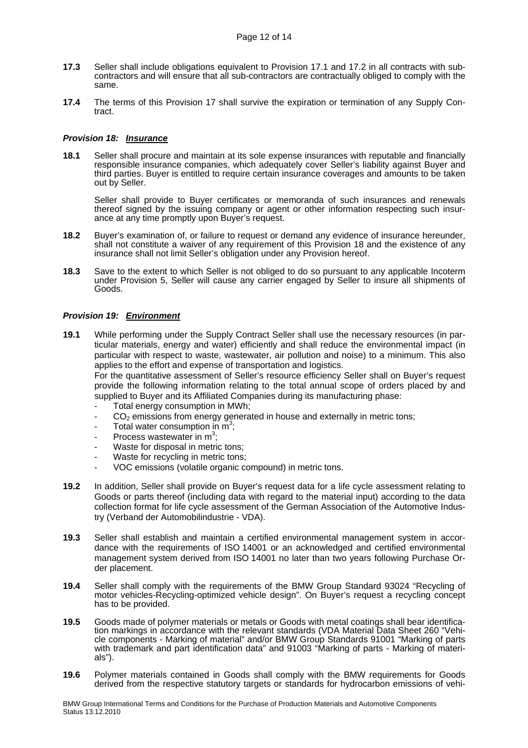- **17.3** Seller shall include obligations equivalent to Provision 17.1 and 17.2 in all contracts with subcontractors and will ensure that all sub-contractors are contractually obliged to comply with the same.
- **17.4** The terms of this Provision 17 shall survive the expiration or termination of any Supply Contract.

## **Provision 18: Insurance**

**18.1** Seller shall procure and maintain at its sole expense insurances with reputable and financially responsible insurance companies, which adequately cover Seller's liability against Buyer and third parties. Buyer is entitled to require certain insurance coverages and amounts to be taken out by Seller.

Seller shall provide to Buyer certificates or memoranda of such insurances and renewals thereof signed by the issuing company or agent or other information respecting such insurance at any time promptly upon Buyer's request.

- **18.2** Buyer's examination of, or failure to request or demand any evidence of insurance hereunder, shall not constitute a waiver of any requirement of this Provision 18 and the existence of any insurance shall not limit Seller's obligation under any Provision hereof.
- **18.3** Save to the extent to which Seller is not obliged to do so pursuant to any applicable Incoterm under Provision 5, Seller will cause any carrier engaged by Seller to insure all shipments of Goods.

### **Provision 19: Environment**

- **19.1** While performing under the Supply Contract Seller shall use the necessary resources (in particular materials, energy and water) efficiently and shall reduce the environmental impact (in particular with respect to waste, wastewater, air pollution and noise) to a minimum. This also applies to the effort and expense of transportation and logistics. For the quantitative assessment of Seller's resource efficiency Seller shall on Buyer's request provide the following information relating to the total annual scope of orders placed by and supplied to Buyer and its Affiliated Companies during its manufacturing phase:
	- Total energy consumption in MWh:
	- $CO<sub>2</sub>$  emissions from energy generated in house and externally in metric tons;
	- Total water consumption in  $\mathbf{m}^3$ ;
	- Process wastewater in  $m^3$ ;
	- Waste for disposal in metric tons;
	- Waste for recycling in metric tons;
	- VOC emissions (volatile organic compound) in metric tons.
- **19.2** In addition, Seller shall provide on Buyer's request data for a life cycle assessment relating to Goods or parts thereof (including data with regard to the material input) according to the data collection format for life cycle assessment of the German Association of the Automotive Industry (Verband der Automobilindustrie - VDA).
- **19.3** Seller shall establish and maintain a certified environmental management system in accordance with the requirements of ISO 14001 or an acknowledged and certified environmental management system derived from ISO 14001 no later than two years following Purchase Order placement.
- **19.4** Seller shall comply with the requirements of the BMW Group Standard 93024 "Recycling of motor vehicles-Recycling-optimized vehicle design". On Buyer's request a recycling concept has to be provided.
- **19.5** Goods made of polymer materials or metals or Goods with metal coatings shall bear identification markings in accordance with the relevant standards (VDA Material Data Sheet 260 "Vehicle components - Marking of material" and/or BMW Group Standards 91001 "Marking of parts with trademark and part identification data" and 91003 "Marking of parts - Marking of materials").
- **19.6** Polymer materials contained in Goods shall comply with the BMW requirements for Goods derived from the respective statutory targets or standards for hydrocarbon emissions of vehi-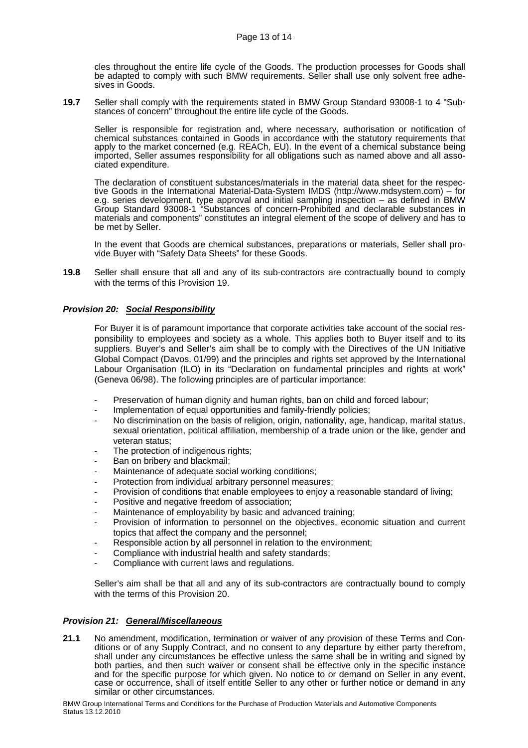cles throughout the entire life cycle of the Goods. The production processes for Goods shall be adapted to comply with such BMW requirements. Seller shall use only solvent free adhesives in Goods.

**19.7** Seller shall comply with the requirements stated in BMW Group Standard 93008-1 to 4 "Substances of concern" throughout the entire life cycle of the Goods.

Seller is responsible for registration and, where necessary, authorisation or notification of chemical substances contained in Goods in accordance with the statutory requirements that apply to the market concerned (e.g. REACh, EU). In the event of a chemical substance being imported, Seller assumes responsibility for all obligations such as named above and all associated expenditure.

The declaration of constituent substances/materials in the material data sheet for the respective Goods in the International Material-Data-System IMDS (http://www.mdsystem.com) – for e.g. series development, type approval and initial sampling inspection – as defined in BMW Group Standard 93008-1 "Substances of concern-Prohibited and declarable substances in materials and components" constitutes an integral element of the scope of delivery and has to be met by Seller.

In the event that Goods are chemical substances, preparations or materials, Seller shall provide Buyer with "Safety Data Sheets" for these Goods.

**19.8** Seller shall ensure that all and any of its sub-contractors are contractually bound to comply with the terms of this Provision 19.

## **Provision 20: Social Responsibility**

For Buyer it is of paramount importance that corporate activities take account of the social responsibility to employees and society as a whole. This applies both to Buyer itself and to its suppliers. Buyer's and Seller's aim shall be to comply with the Directives of the UN Initiative Global Compact (Davos, 01/99) and the principles and rights set approved by the International Labour Organisation (ILO) in its "Declaration on fundamental principles and rights at work" (Geneva 06/98). The following principles are of particular importance:

- Preservation of human dignity and human rights, ban on child and forced labour;
- Implementation of equal opportunities and family-friendly policies;
- No discrimination on the basis of religion, origin, nationality, age, handicap, marital status, sexual orientation, political affiliation, membership of a trade union or the like, gender and veteran status;
- The protection of indigenous rights;
- Ban on bribery and blackmail;
- Maintenance of adequate social working conditions;
- Protection from individual arbitrary personnel measures;
- Provision of conditions that enable employees to enjoy a reasonable standard of living;
- Positive and negative freedom of association;
- Maintenance of employability by basic and advanced training;
- Provision of information to personnel on the objectives, economic situation and current topics that affect the company and the personnel;
- Responsible action by all personnel in relation to the environment;
- Compliance with industrial health and safety standards;
- Compliance with current laws and regulations.

Seller's aim shall be that all and any of its sub-contractors are contractually bound to comply with the terms of this Provision 20.

#### **Provision 21: General/Miscellaneous**

**21.1** No amendment, modification, termination or waiver of any provision of these Terms and Conditions or of any Supply Contract, and no consent to any departure by either party therefrom, shall under any circumstances be effective unless the same shall be in writing and signed by both parties, and then such waiver or consent shall be effective only in the specific instance and for the specific purpose for which given. No notice to or demand on Seller in any event, case or occurrence, shall of itself entitle Seller to any other or further notice or demand in any similar or other circumstances.

BMW Group International Terms and Conditions for the Purchase of Production Materials and Automotive Components Status 13.12.2010